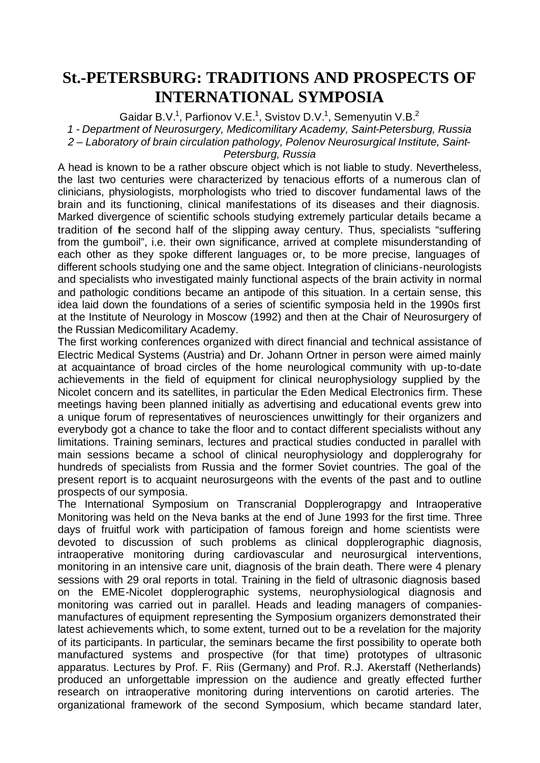## **St.-PETERSBURG: TRADITIONS AND PROSPECTS OF INTERNATIONAL SYMPOSIA**

Gaidar B.V.<sup>1</sup>, Parfionov V.E.<sup>1</sup>, Svistov D.V.<sup>1</sup>, Semenyutin V.B.<sup>2</sup> *1 - Department of Neurosurgery, Medicomilitary Academy, Saint-Petersburg, Russia 2 – Laboratory of brain circulation pathology, Polenov Neurosurgical Institute, Saint-Petersburg, Russia*

A head is known to be a rather obscure object which is not liable to study. Nevertheless, the last two centuries were characterized by tenacious efforts of a numerous clan of clinicians, physiologists, morphologists who tried to discover fundamental laws of the brain and its functioning, clinical manifestations of its diseases and their diagnosis. Marked divergence of scientific schools studying extremely particular details became a tradition of the second half of the slipping away century. Thus, specialists "suffering from the gumboil", i.e. their own significance, arrived at complete misunderstanding of each other as they spoke different languages or, to be more precise, languages of different schools studying one and the same object. Integration of clinicians-neurologists and specialists who investigated mainly functional aspects of the brain activity in normal and pathologic conditions became an antipode of this situation. In a certain sense, this idea laid down the foundations of a series of scientific symposia held in the 1990s first at the Institute of Neurology in Moscow (1992) and then at the Chair of Neurosurgery of the Russian Medicomilitary Academy.

The first working conferences organized with direct financial and technical assistance of Electric Medical Systems (Austria) and Dr. Johann Ortner in person were aimed mainly at acquaintance of broad circles of the home neurological community with up-to-date achievements in the field of equipment for clinical neurophysiology supplied by the Nicolet concern and its satellites, in particular the Eden Medical Electronics firm. These meetings having been planned initially as advertising and educational events grew into a unique forum of representatives of neurosciences unwittingly for their organizers and everybody got a chance to take the floor and to contact different specialists without any limitations. Training seminars, lectures and practical studies conducted in parallel with main sessions became a school of clinical neurophysiology and dopplerograhy for hundreds of specialists from Russia and the former Soviet countries. The goal of the present report is to acquaint neurosurgeons with the events of the past and to outline prospects of our symposia.

The International Symposium on Transcranial Dopplerograpgy and Intraoperative Monitoring was held on the Neva banks at the end of June 1993 for the first time. Three days of fruitful work with participation of famous foreign and home scientists were devoted to discussion of such problems as clinical dopplerographic diagnosis, intraoperative monitoring during cardiovascular and neurosurgical interventions, monitoring in an intensive care unit, diagnosis of the brain death. There were 4 plenary sessions with 29 oral reports in total. Training in the field of ultrasonic diagnosis based on the EME-Nicolet dopplerographic systems, neurophysiological diagnosis and monitoring was carried out in parallel. Heads and leading managers of companiesmanufactures of equipment representing the Symposium organizers demonstrated their latest achievements which, to some extent, turned out to be a revelation for the majority of its participants. In particular, the seminars became the first possibility to operate both manufactured systems and prospective (for that time) prototypes of ultrasonic apparatus. Lectures by Prof. F. Riis (Germany) and Prof. R.J. Akerstaff (Netherlands) produced an unforgettable impression on the audience and greatly effected further research on intraoperative monitoring during interventions on carotid arteries. The organizational framework of the second Symposium, which became standard later,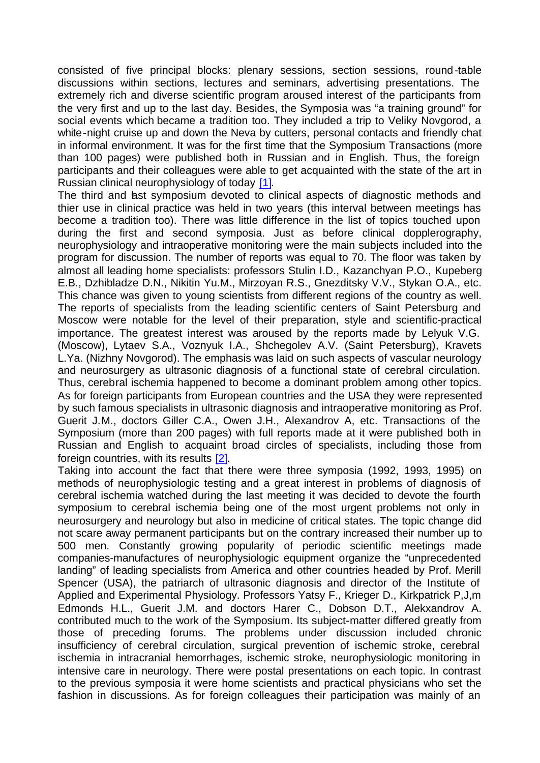consisted of five principal blocks: plenary sessions, section sessions, round-table discussions within sections, lectures and seminars, advertising presentations. The extremely rich and diverse scientific program aroused interest of the participants from the very first and up to the last day. Besides, the Symposia was "a training ground" for social events which became a tradition too. They included a trip to Veliky Novgorod, a white-night cruise up and down the Neva by cutters, personal contacts and friendly chat in informal environment. It was for the first time that the Symposium Transactions (more than 100 pages) were published both in Russian and in English. Thus, the foreign participants and their colleagues were able to get acquainted with the state of the art in Russian clinical neurophysiology of today [1].

The third and last symposium devoted to clinical aspects of diagnostic methods and thier use in clinical practice was held in two years (this interval between meetings has become a tradition too). There was little difference in the list of topics touched upon during the first and second symposia. Just as before clinical dopplerography, neurophysiology and intraoperative monitoring were the main subjects included into the program for discussion. The number of reports was equal to 70. The floor was taken by almost all leading home specialists: professors Stulin I.D., Kazanchyan P.O., Kupeberg E.B., Dzhibladze D.N., Nikitin Yu.M., Mirzoyan R.S., Gnezditsky V.V., Stykan O.A., etc. This chance was given to young scientists from different regions of the country as well. The reports of specialists from the leading scientific centers of Saint Petersburg and Moscow were notable for the level of their preparation, style and scientific-practical importance. The greatest interest was aroused by the reports made by Lelyuk V.G. (Moscow), Lytaev S.A., Voznyuk I.A., Shchegolev A.V. (Saint Petersburg), Kravets L.Ya. (Nizhny Novgorod). The emphasis was laid on such aspects of vascular neurology and neurosurgery as ultrasonic diagnosis of a functional state of cerebral circulation. Thus, cerebral ischemia happened to become a dominant problem among other topics. As for foreign participants from European countries and the USA they were represented by such famous specialists in ultrasonic diagnosis and intraoperative monitoring as Prof. Guerit J.M., doctors Giller C.A., Owen J.H., Alexandrov A, etc. Transactions of the Symposium (more than 200 pages) with full reports made at it were published both in Russian and English to acquaint broad circles of specialists, including those from foreign countries, with its results [2].

Taking into account the fact that there were three symposia (1992, 1993, 1995) on methods of neurophysiologic testing and a great interest in problems of diagnosis of cerebral ischemia watched during the last meeting it was decided to devote the fourth symposium to cerebral ischemia being one of the most urgent problems not only in neurosurgery and neurology but also in medicine of critical states. The topic change did not scare away permanent participants but on the contrary increased their number up to 500 men. Constantly growing popularity of periodic scientific meetings made companies-manufactures of neurophysiologic equipment organize the "unprecedented landing" of leading specialists from America and other countries headed by Prof. Merill Spencer (USA), the patriarch of ultrasonic diagnosis and director of the Institute of Applied and Experimental Physiology. Professors Yatsy F., Krieger D., Kirkpatrick P,J,m Edmonds H.L., Guerit J.M. and doctors Harer C., Dobson D.T., Alekxandrov A. contributed much to the work of the Symposium. Its subject-matter differed greatly from those of preceding forums. The problems under discussion included chronic insufficiency of cerebral circulation, surgical prevention of ischemic stroke, cerebral ischemia in intracranial hemorrhages, ischemic stroke, neurophysiologic monitoring in intensive care in neurology. There were postal presentations on each topic. In contrast to the previous symposia it were home scientists and practical physicians who set the fashion in discussions. As for foreign colleagues their participation was mainly of an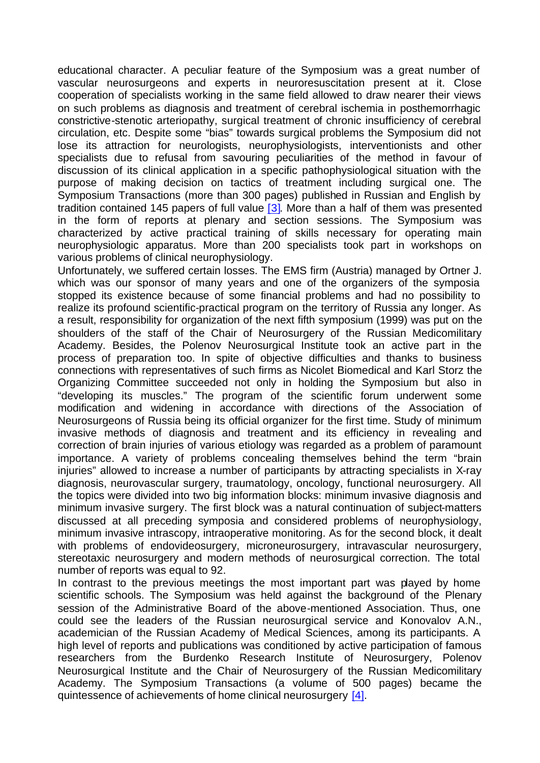educational character. A peculiar feature of the Symposium was a great number of vascular neurosurgeons and experts in neuroresuscitation present at it. Close cooperation of specialists working in the same field allowed to draw nearer their views on such problems as diagnosis and treatment of cerebral ischemia in posthemorrhagic constrictive-stenotic arteriopathy, surgical treatment of chronic insufficiency of cerebral circulation, etc. Despite some "bias" towards surgical problems the Symposium did not lose its attraction for neurologists, neurophysiologists, interventionists and other specialists due to refusal from savouring peculiarities of the method in favour of discussion of its clinical application in a specific pathophysiological situation with the purpose of making decision on tactics of treatment including surgical one. The Symposium Transactions (more than 300 pages) published in Russian and English by tradition contained 145 papers of full value  $\lceil 3 \rceil$ . More than a half of them was presented in the form of reports at plenary and section sessions. The Symposium was characterized by active practical training of skills necessary for operating main neurophysiologic apparatus. More than 200 specialists took part in workshops on various problems of clinical neurophysiology.

Unfortunately, we suffered certain losses. The EMS firm (Austria) managed by Ortner J. which was our sponsor of many years and one of the organizers of the symposia stopped its existence because of some financial problems and had no possibility to realize its profound scientific-practical program on the territory of Russia any longer. As a result, responsibility for organization of the next fifth symposium (1999) was put on the shoulders of the staff of the Chair of Neurosurgery of the Russian Medicomilitary Academy. Besides, the Polenov Neurosurgical Institute took an active part in the process of preparation too. In spite of objective difficulties and thanks to business connections with representatives of such firms as Nicolet Biomedical and Karl Storz the Organizing Committee succeeded not only in holding the Symposium but also in "developing its muscles." The program of the scientific forum underwent some modification and widening in accordance with directions of the Association of Neurosurgeons of Russia being its official organizer for the first time. Study of minimum invasive methods of diagnosis and treatment and its efficiency in revealing and correction of brain injuries of various etiology was regarded as a problem of paramount importance. A variety of problems concealing themselves behind the term "brain injuries" allowed to increase a number of participants by attracting specialists in X-ray diagnosis, neurovascular surgery, traumatology, oncology, functional neurosurgery. All the topics were divided into two big information blocks: minimum invasive diagnosis and minimum invasive surgery. The first block was a natural continuation of subject-matters discussed at all preceding symposia and considered problems of neurophysiology, minimum invasive intrascopy, intraoperative monitoring. As for the second block, it dealt with problems of endovideosurgery, microneurosurgery, intravascular neurosurgery, stereotaxic neurosurgery and modern methods of neurosurgical correction. The total number of reports was equal to 92.

In contrast to the previous meetings the most important part was played by home scientific schools. The Symposium was held against the background of the Plenary session of the Administrative Board of the above-mentioned Association. Thus, one could see the leaders of the Russian neurosurgical service and Konovalov A.N., academician of the Russian Academy of Medical Sciences, among its participants. A high level of reports and publications was conditioned by active participation of famous researchers from the Burdenko Research Institute of Neurosurgery, Polenov Neurosurgical Institute and the Chair of Neurosurgery of the Russian Medicomilitary Academy. The Symposium Transactions (a volume of 500 pages) became the quintessence of achievements of home clinical neurosurgery [4].